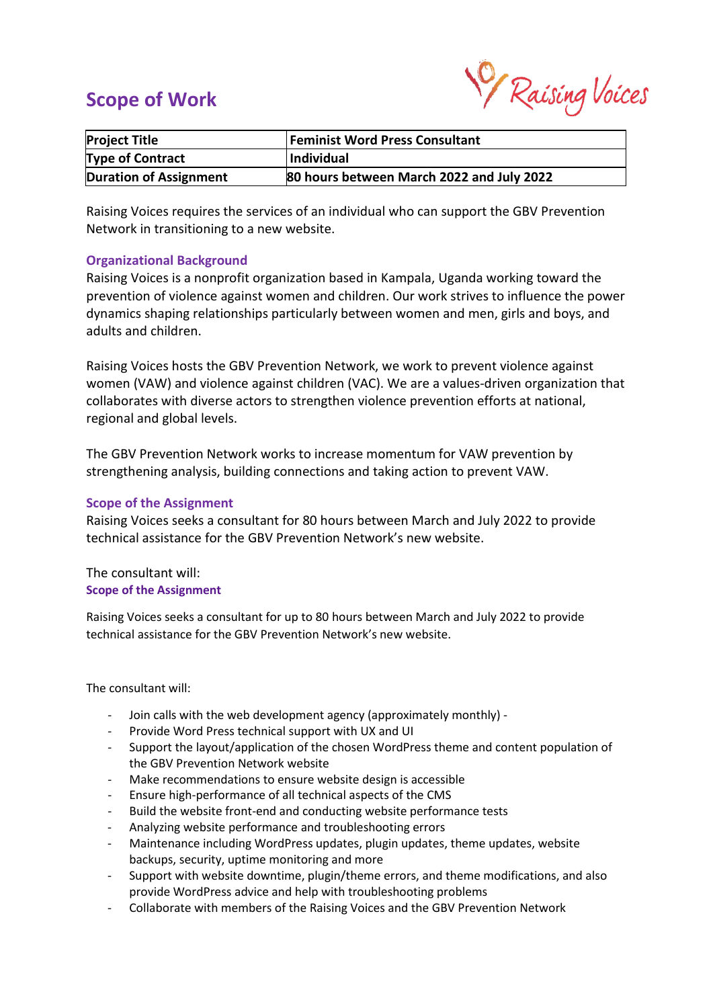# **Scope of Work**

Raising Voices

| <b>Project Title</b>          | <b>Feminist Word Press Consultant</b>     |
|-------------------------------|-------------------------------------------|
| Type of Contract              | Individual                                |
| <b>Duration of Assignment</b> | 80 hours between March 2022 and July 2022 |

Raising Voices requires the services of an individual who can support the GBV Prevention Network in transitioning to a new website.

### **Organizational Background**

Raising Voices is a nonprofit organization based in Kampala, Uganda working toward the prevention of violence against women and children. Our work strives to influence the power dynamics shaping relationships particularly between women and men, girls and boys, and adults and children.

Raising Voices hosts the GBV Prevention Network, we work to prevent violence against women (VAW) and violence against children (VAC). We are a values-driven organization that collaborates with diverse actors to strengthen violence prevention efforts at national, regional and global levels.

The GBV Prevention Network works to increase momentum for VAW prevention by strengthening analysis, building connections and taking action to prevent VAW.

#### **Scope of the Assignment**

Raising Voices seeks a consultant for 80 hours between March and July 2022 to provide technical assistance for the GBV Prevention Network's new website.

### The consultant will: **Scope of the Assignment**

Raising Voices seeks a consultant for up to 80 hours between March and July 2022 to provide technical assistance for the GBV Prevention Network's new website.

The consultant will:

- Join calls with the web development agency (approximately monthly) -
- Provide Word Press technical support with UX and UI
- Support the layout/application of the chosen WordPress theme and content population of the GBV Prevention Network website
- Make recommendations to ensure website design is accessible
- Ensure high-performance of all technical aspects of the CMS
- Build the website front-end and conducting website performance tests
- Analyzing website performance and troubleshooting errors
- Maintenance including WordPress updates, plugin updates, theme updates, website backups, security, uptime monitoring and more
- Support with website downtime, plugin/theme errors, and theme modifications, and also provide WordPress advice and help with troubleshooting problems
- Collaborate with members of the Raising Voices and the GBV Prevention Network